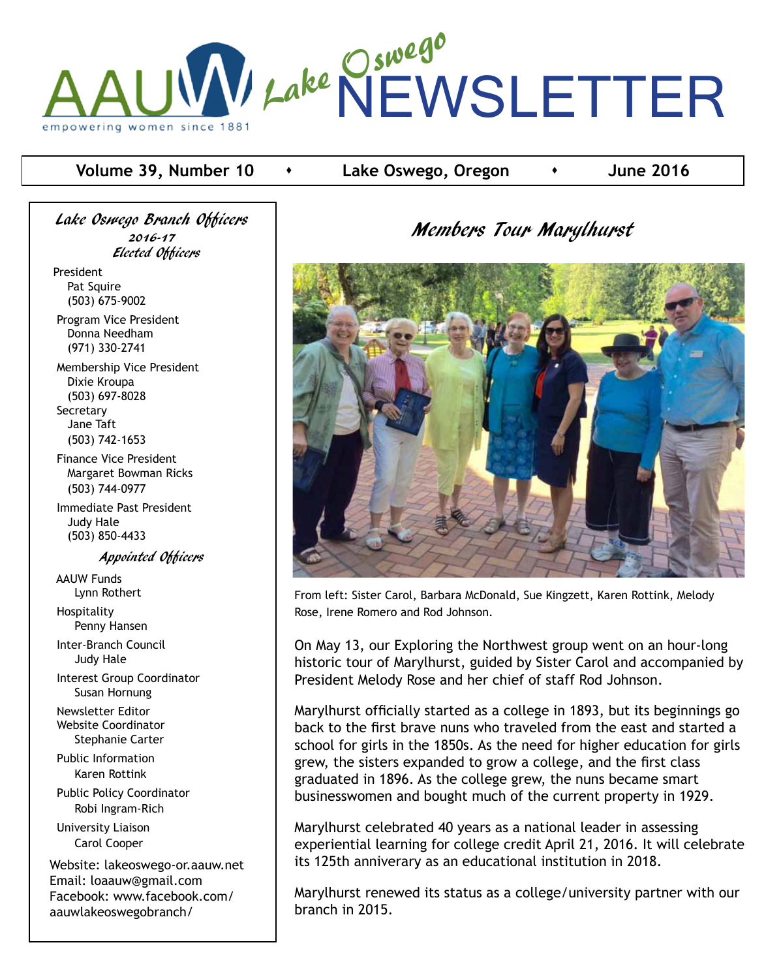

### **Volume 39, Number 10**  $\rightarrow$  Lake Oswego, Oregon  $\rightarrow$  June 2016

Lake Oswego Branch Officers 2016-17 Elected Officers

President Pat Squire (503) 675-9002 Program Vice President

 Donna Needham (971) 330-2741

 Membership Vice President Dixie Kroupa (503) 697-8028 **Secretary**  Jane Taft (503) 742-1653

 Finance Vice President Margaret Bowman Ricks (503) 744-0977

 Immediate Past President Judy Hale (503) 850-4433

Appointed Officers

 AAUW Funds Lynn Rothert

 Hospitality Penny Hansen

 Inter-Branch Council Judy Hale

 Interest Group Coordinator Susan Hornung

 Newsletter Editor Website Coordinator Stephanie Carter

 Public Information Karen Rottink

 Public Policy Coordinator Robi Ingram-Rich University Liaison Carol Cooper

Website: lakeoswego-or.aauw.net Email: loaauw@gmail.com Facebook: www.facebook.com/ aauwlakeoswegobranch/

# Members Tour Marylhurst



From left: Sister Carol, Barbara McDonald, Sue Kingzett, Karen Rottink, Melody Rose, Irene Romero and Rod Johnson.

On May 13, our Exploring the Northwest group went on an hour-long historic tour of Marylhurst, guided by Sister Carol and accompanied by President Melody Rose and her chief of staff Rod Johnson.

Marylhurst officially started as a college in 1893, but its beginnings go back to the first brave nuns who traveled from the east and started a school for girls in the 1850s. As the need for higher education for girls grew, the sisters expanded to grow a college, and the first class graduated in 1896. As the college grew, the nuns became smart businesswomen and bought much of the current property in 1929.

Marylhurst celebrated 40 years as a national leader in assessing experiential learning for college credit April 21, 2016. It will celebrate its 125th anniverary as an educational institution in 2018.

Marylhurst renewed its status as a college/university partner with our branch in 2015.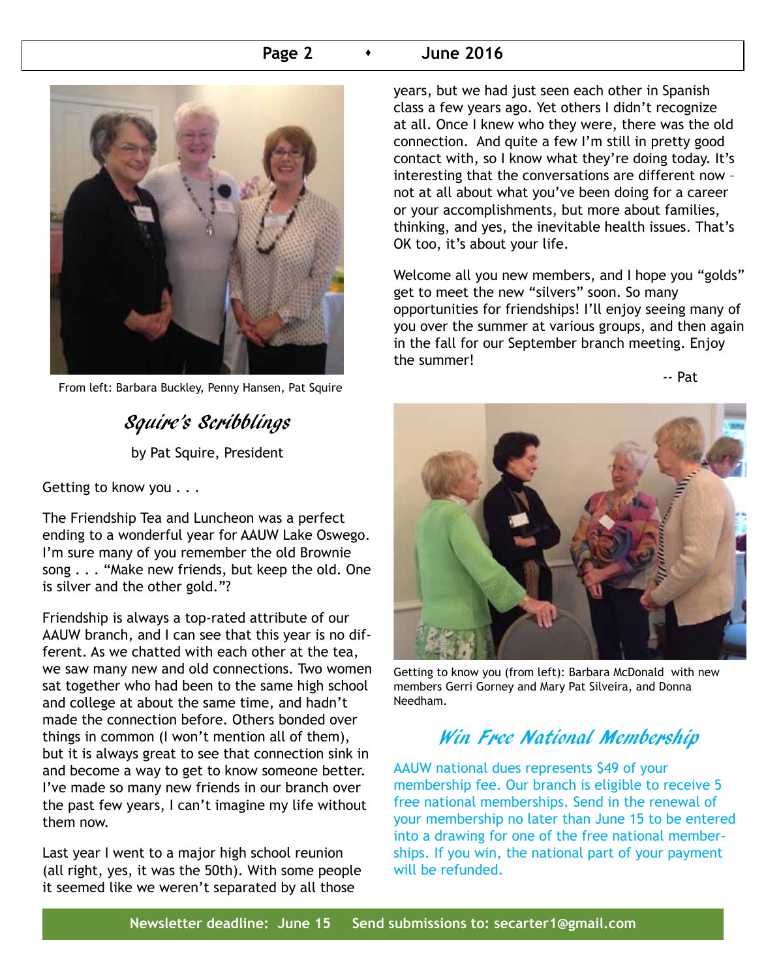### **Page 2 b 1 June 2016**



From left: Barbara Buckley, Penny Hansen, Pat Squire

# Squire's Scribblings

by Pat Squire, President

Getting to know you . . .

The Friendship Tea and Luncheon was a perfect ending to a wonderful year for AAUW Lake Oswego. I'm sure many of you remember the old Brownie song . . . "Make new friends, but keep the old. One is silver and the other gold."?

Friendship is always a top-rated attribute of our AAUW branch, and I can see that this year is no different. As we chatted with each other at the tea, we saw many new and old connections. Two women sat together who had been to the same high school and college at about the same time, and hadn't made the connection before. Others bonded over things in common (I won't mention all of them), but it is always great to see that connection sink in and become a way to get to know someone better. I've made so many new friends in our branch over the past few years, I can't imagine my life without them now.

Last year I went to a major high school reunion (all right, yes, it was the 50th). With some people it seemed like we weren't separated by all those

years, but we had just seen each other in Spanish class a few years ago. Yet others I didn't recognize at all. Once I knew who they were, there was the old connection. And quite a few I'm still in pretty good contact with, so I know what they're doing today. It's interesting that the conversations are different now – not at all about what you've been doing for a career or your accomplishments, but more about families, thinking, and yes, the inevitable health issues. That's OK too, it's about your life.

Welcome all you new members, and I hope you "golds" get to meet the new "silvers" soon. So many opportunities for friendships! I'll enjoy seeing many of you over the summer at various groups, and then again in the fall for our September branch meeting. Enjoy the summer!

and the contract of the contract of the Pat



Getting to know you (from left): Barbara McDonald with new members Gerri Gorney and Mary Pat Silveira, and Donna Needham.

# Win Free National Membership

AAUW national dues represents \$49 of your membership fee. Our branch is eligible to receive 5 free national memberships. Send in the renewal of your membership no later than June 15 to be entered into a drawing for one of the free national memberships. If you win, the national part of your payment will be refunded.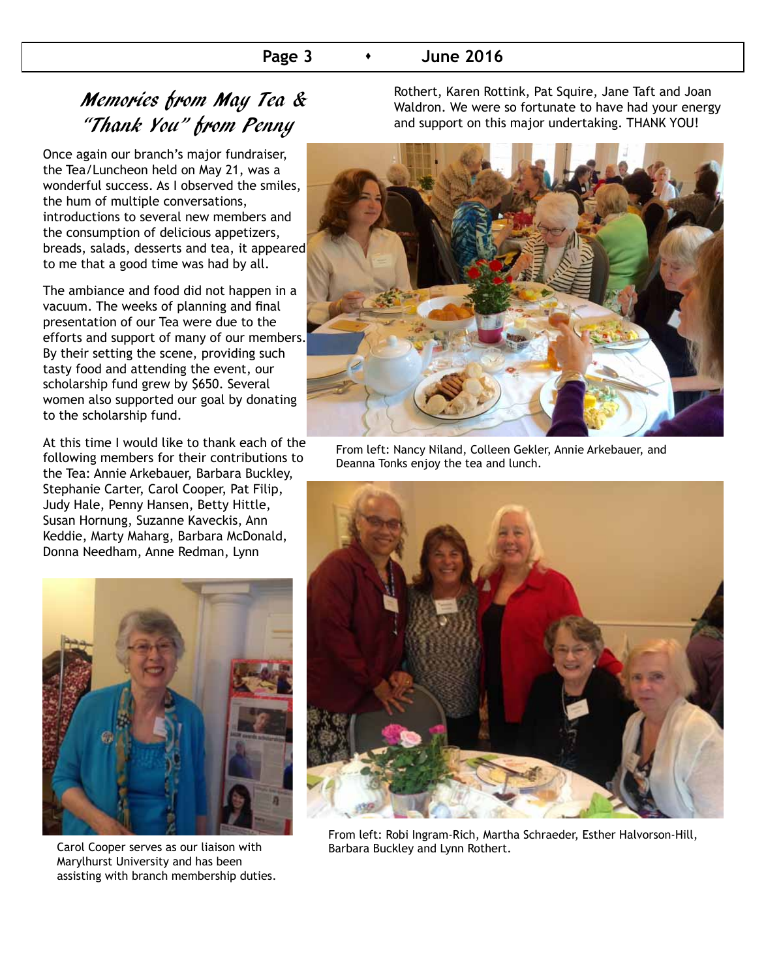# Memories from May Tea & "Thank You" from Penny

Once again our branch's major fundraiser, the Tea/Luncheon held on May 21, was a wonderful success. As I observed the smiles, the hum of multiple conversations, introductions to several new members and the consumption of delicious appetizers, breads, salads, desserts and tea, it appeared to me that a good time was had by all.

The ambiance and food did not happen in a vacuum. The weeks of planning and final presentation of our Tea were due to the efforts and support of many of our members. By their setting the scene, providing such tasty food and attending the event, our scholarship fund grew by \$650. Several women also supported our goal by donating to the scholarship fund.

At this time I would like to thank each of the following members for their contributions to the Tea: Annie Arkebauer, Barbara Buckley, Stephanie Carter, Carol Cooper, Pat Filip, Judy Hale, Penny Hansen, Betty Hittle, Susan Hornung, Suzanne Kaveckis, Ann Keddie, Marty Maharg, Barbara McDonald, Donna Needham, Anne Redman, Lynn



Carol Cooper serves as our liaison with Barbara Buckley and Lynn Rothert. Marylhurst University and has been assisting with branch membership duties.

Rothert, Karen Rottink, Pat Squire, Jane Taft and Joan Waldron. We were so fortunate to have had your energy and support on this major undertaking. THANK YOU!



From left: Nancy Niland, Colleen Gekler, Annie Arkebauer, and Deanna Tonks enjoy the tea and lunch.



From left: Robi Ingram-Rich, Martha Schraeder, Esther Halvorson-Hill,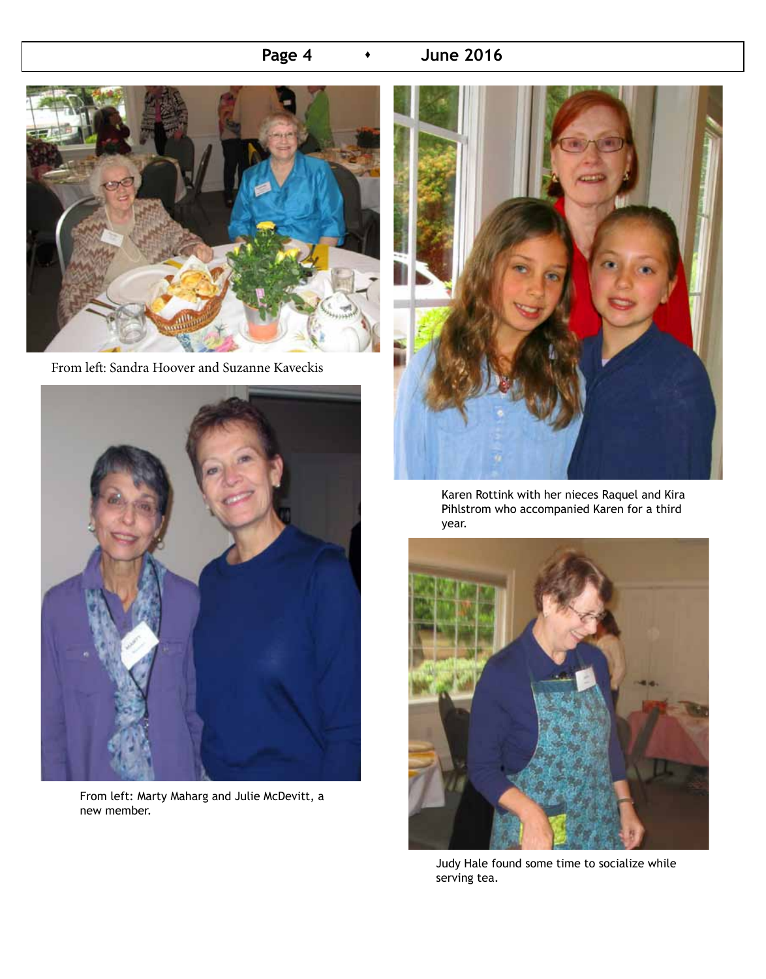# **Page 4 •** June 2016



From left: Sandra Hoover and Suzanne Kaveckis



From left: Marty Maharg and Julie McDevitt, a new member.



Karen Rottink with her nieces Raquel and Kira Pihlstrom who accompanied Karen for a third year.



Judy Hale found some time to socialize while serving tea.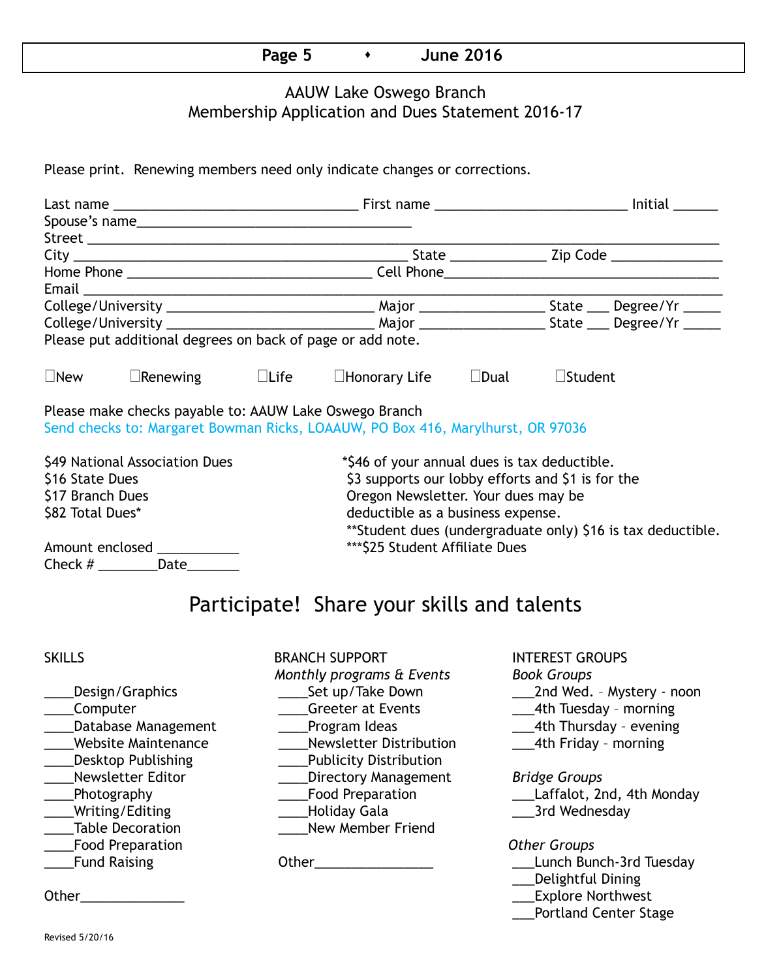| $\overline{\phantom{0}}$ |  | -----<br>. .<br>O<br>-------- |  |
|--------------------------|--|-------------------------------|--|
|--------------------------|--|-------------------------------|--|

## AAUW Lake Oswego Branch Membership Application and Dues Statement 2016-17

Please print. Renewing members need only indicate changes or corrections.

| Please put additional degrees on back of page or add note.                                                                                |                                |                                   |                                              |  |                    |                                                              |  |  |
|-------------------------------------------------------------------------------------------------------------------------------------------|--------------------------------|-----------------------------------|----------------------------------------------|--|--------------------|--------------------------------------------------------------|--|--|
| $\square$ New<br>$\Box$ Renewing $\Box$ Life                                                                                              |                                |                                   | $\square$ Honorary Life $\square$ Dual       |  | $\square$ Student  |                                                              |  |  |
| Please make checks payable to: AAUW Lake Oswego Branch<br>Send checks to: Margaret Bowman Ricks, LOAAUW, PO Box 416, Marylhurst, OR 97036 |                                |                                   |                                              |  |                    |                                                              |  |  |
|                                                                                                                                           | \$49 National Association Dues |                                   | *\$46 of your annual dues is tax deductible. |  |                    |                                                              |  |  |
| \$16 State Dues<br>\$3 supports our lobby efforts and \$1 is for the                                                                      |                                |                                   |                                              |  |                    |                                                              |  |  |
| Oregon Newsletter. Your dues may be<br>\$17 Branch Dues                                                                                   |                                |                                   |                                              |  |                    |                                                              |  |  |
| \$82 Total Dues*                                                                                                                          |                                | deductible as a business expense. |                                              |  |                    |                                                              |  |  |
|                                                                                                                                           |                                |                                   |                                              |  |                    | ** Student dues (undergraduate only) \$16 is tax deductible. |  |  |
| Amount enclosed ___________                                                                                                               |                                | *** \$25 Student Affiliate Dues   |                                              |  |                    |                                                              |  |  |
| Check $#$ Date                                                                                                                            |                                |                                   |                                              |  |                    |                                                              |  |  |
| Participate! Share your skills and talents                                                                                                |                                |                                   |                                              |  |                    |                                                              |  |  |
|                                                                                                                                           |                                |                                   |                                              |  |                    |                                                              |  |  |
| <b>SKILLS</b>                                                                                                                             |                                |                                   | <b>BRANCH SUPPORT</b>                        |  |                    | <b>INTEREST GROUPS</b>                                       |  |  |
|                                                                                                                                           |                                |                                   | Monthly programs & Events                    |  | <b>Book Groups</b> |                                                              |  |  |
|                                                                                                                                           | ___Design/Graphics             |                                   | _____Set up/Take Down                        |  |                    | ____2nd Wed. - Mystery - noon                                |  |  |
| ____Computer                                                                                                                              |                                |                                   | <b>Greeter at Events</b>                     |  |                    | ___4th Tuesday - morning                                     |  |  |
|                                                                                                                                           | Database Management            |                                   | Program Ideas                                |  |                    | ___4th Thursday - evening                                    |  |  |

- 
- 
- 
- 
- 
- 
- 
- 

\_\_\_\_Website Maintenance \_\_\_\_Newsletter Distribution \_\_\_4th Friday – morning \_\_\_\_Desktop Publishing \_\_\_\_Publicity Distribution \_\_\_\_Newsletter Editor \_\_\_\_Directory Management *Bridge Groups* \_\_\_\_Photography \_\_\_\_Food Preparation \_\_\_Laffalot, 2nd, 4th Monday \_\_\_\_Writing/Editing \_\_\_\_Holiday Gala \_\_\_3rd Wednesday \_\_\_\_Table Decoration \_\_\_\_New Member Friend \_\_\_\_Food Preparation *Other Groups* Latter Communication Communication Communication Communication Communication Communication Communication Commu<br>
Latter Communication Communication Communication Communication Communication Communication Communication Comm

- 
- 

- 
- 

- 
- \_\_\_Delightful Dining
- Other\_\_\_\_\_\_\_\_\_\_\_\_\_\_ \_\_\_Explore Northwest
	- \_\_\_Portland Center Stage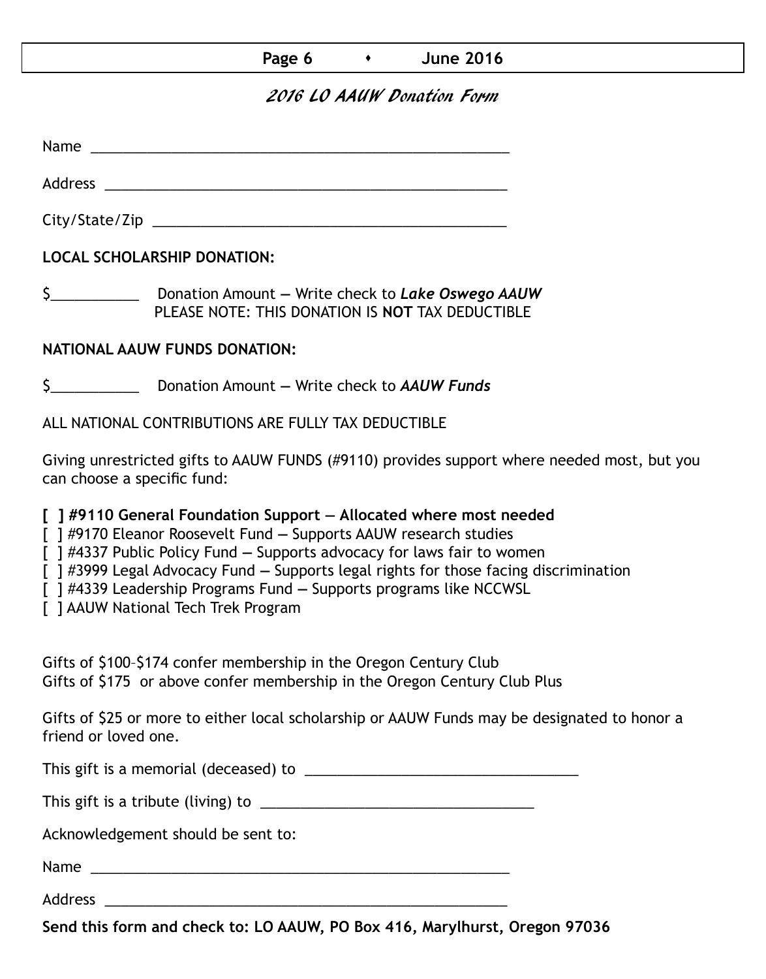| Page 6 |  | <b>June 2016</b> |
|--------|--|------------------|
|--------|--|------------------|

## 2016 LO AAUW Donation Form

Name was also as a set of  $\sim$  10  $\mu$  m  $\sim$  10  $\mu$  m  $\sim$  10  $\mu$  m  $\sim$  10  $\mu$  m  $\sim$  10  $\mu$  m  $\sim$  10  $\mu$  m  $\sim$  10  $\mu$  m  $\sim$  10  $\mu$  m  $\sim$  10  $\mu$  m  $\sim$  10  $\mu$  m  $\sim$  10  $\mu$  m  $\sim$  10  $\mu$  m  $\sim$  10  $\mu$  m

City/State/Zip \_\_\_\_\_\_\_\_\_\_\_\_\_\_\_\_\_\_\_\_\_\_\_\_\_\_\_\_\_\_\_\_\_\_\_\_\_\_\_\_\_\_\_\_

Address \_\_\_\_\_\_\_\_\_\_\_\_\_\_\_\_\_\_\_\_\_\_\_\_\_\_\_\_\_\_\_\_\_\_\_\_\_\_\_\_\_\_\_\_\_\_\_\_\_\_

**LOCAL SCHOLARSHIP DONATION:**

\$\_\_\_\_\_\_\_\_\_\_\_ Donation Amount **—** Write check to *Lake Oswego AAUW* PLEASE NOTE: THIS DONATION IS **NOT** TAX DEDUCTIBLE

### **NATIONAL AAUW FUNDS DONATION:**

\$\_\_\_\_\_\_\_\_\_\_\_ Donation Amount **—** Write check to *AAUW Funds*

ALL NATIONAL CONTRIBUTIONS ARE FULLY TAX DEDUCTIBLE

Giving unrestricted gifts to AAUW FUNDS (#9110) provides support where needed most, but you can choose a specific fund:

**[ ] #9110 General Foundation Support — Allocated where most needed** 

[ ] #9170 Eleanor Roosevelt Fund **—** Supports AAUW research studies

[ ] #4337 Public Policy Fund **—** Supports advocacy for laws fair to women

[ ] #3999 Legal Advocacy Fund **—** Supports legal rights for those facing discrimination

[ ] #4339 Leadership Programs Fund **—** Supports programs like NCCWSL

[ ] AAUW National Tech Trek Program

Gifts of \$100–\$174 confer membership in the Oregon Century Club Gifts of \$175 or above confer membership in the Oregon Century Club Plus

Gifts of \$25 or more to either local scholarship or AAUW Funds may be designated to honor a friend or loved one.

This gift is a memorial (deceased) to \_\_\_\_\_\_\_\_\_\_\_\_\_\_\_\_\_\_\_\_\_\_\_\_\_\_\_\_\_\_\_\_\_\_

This gift is a tribute (living) to \_\_\_\_\_\_\_\_\_\_\_\_\_\_\_\_\_\_\_\_\_\_\_\_\_\_\_\_\_\_\_\_\_\_

Acknowledgement should be sent to:

Name \_\_\_\_\_\_\_\_\_\_\_\_\_\_\_\_\_\_\_\_\_\_\_\_\_\_\_\_\_\_\_\_\_\_\_\_\_\_\_\_\_\_\_\_\_\_\_\_\_\_\_\_

Address \_\_\_\_\_\_\_\_\_\_\_\_\_\_\_\_\_\_\_\_\_\_\_\_\_\_\_\_\_\_\_\_\_\_\_\_\_\_\_\_\_\_\_\_\_\_\_\_\_\_

**Send this form and check to: LO AAUW, PO Box 416, Marylhurst, Oregon 97036**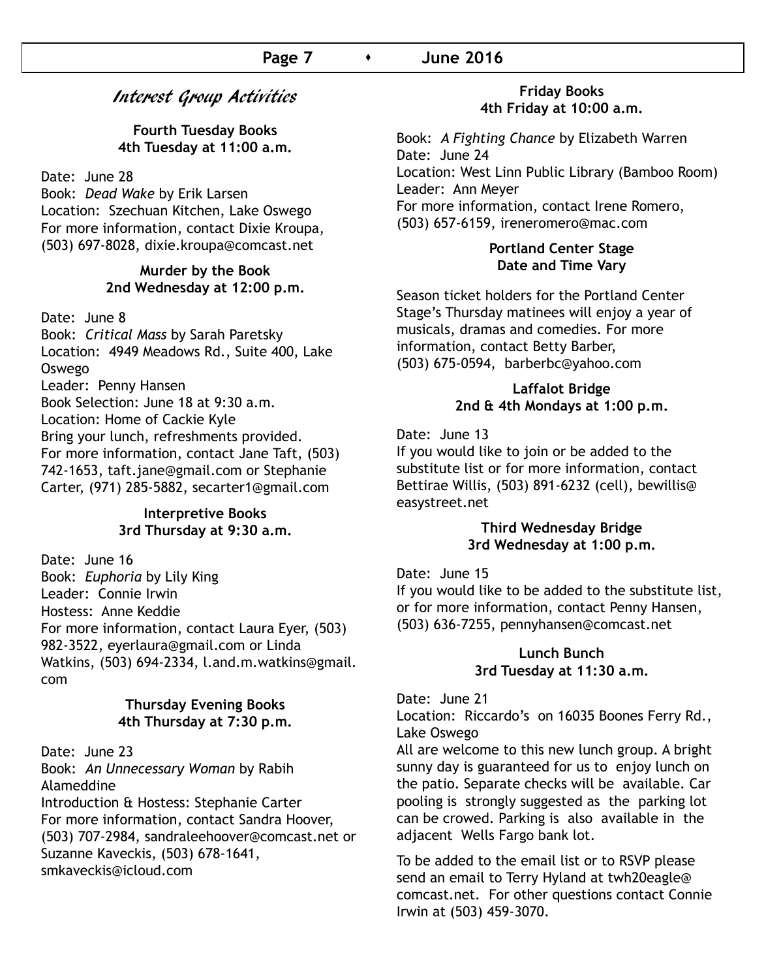## Interest Group Activities

**Fourth Tuesday Books 4th Tuesday at 11:00 a.m.**

Date: June 28

Book: *Dead Wake* by Erik Larsen Location: Szechuan Kitchen, Lake Oswego For more information, contact Dixie Kroupa, (503) 697-8028, dixie.kroupa@comcast.net

#### **Murder by the Book 2nd Wednesday at 12:00 p.m.**

Date: June 8

Book: *Critical Mass* by Sarah Paretsky Location: 4949 Meadows Rd., Suite 400, Lake Oswego Leader: Penny Hansen Book Selection: June 18 at 9:30 a.m. Location: Home of Cackie Kyle Bring your lunch, refreshments provided. For more information, contact Jane Taft, (503) 742-1653, taft.jane@gmail.com or Stephanie Carter, (971) 285-5882, secarter1@gmail.com

#### **Interpretive Books 3rd Thursday at 9:30 a.m.**

Date: June 16 Book: *Euphoria* by Lily King Leader: Connie Irwin Hostess: Anne Keddie For more information, contact Laura Eyer, (503) 982-3522, eyerlaura@gmail.com or Linda Watkins, (503) 694-2334, l.and.m.watkins@gmail. com

#### **Thursday Evening Books 4th Thursday at 7:30 p.m.**

Date: June 23 Book: *An Unnecessary Woman* by Rabih Alameddine Introduction & Hostess: Stephanie Carter For more information, contact Sandra Hoover, (503) 707-2984, sandraleehoover@comcast.net or Suzanne Kaveckis, (503) 678-1641, smkaveckis@icloud.com

#### **Friday Books 4th Friday at 10:00 a.m.**

Book: *A Fighting Chance* by Elizabeth Warren Date: June 24 Location: West Linn Public Library (Bamboo Room) Leader: Ann Meyer For more information, contact Irene Romero, (503) 657-6159, ireneromero@mac.com

#### **Portland Center Stage Date and Time Vary**

Season ticket holders for the Portland Center Stage's Thursday matinees will enjoy a year of musicals, dramas and comedies. For more information, contact Betty Barber, (503) 675-0594, barberbc@yahoo.com

#### **Laffalot Bridge 2nd & 4th Mondays at 1:00 p.m.**

Date: June 13

If you would like to join or be added to the substitute list or for more information, contact Bettirae Willis, (503) 891-6232 (cell), bewillis@ easystreet.net

#### **Third Wednesday Bridge 3rd Wednesday at 1:00 p.m.**

Date: June 15

If you would like to be added to the substitute list, or for more information, contact Penny Hansen, (503) 636-7255, pennyhansen@comcast.net

#### **Lunch Bunch 3rd Tuesday at 11:30 a.m.**

Date: June 21

Location: Riccardo's on 16035 Boones Ferry Rd., Lake Oswego

All are welcome to this new lunch group. A bright sunny day is guaranteed for us to enjoy lunch on the patio. Separate checks will be available. Car pooling is strongly suggested as the parking lot can be crowed. Parking is also available in the adjacent Wells Fargo bank lot.

To be added to the email list or to RSVP please send an email to Terry Hyland at twh20eagle@ comcast.net. For other questions contact Connie Irwin at (503) 459-3070.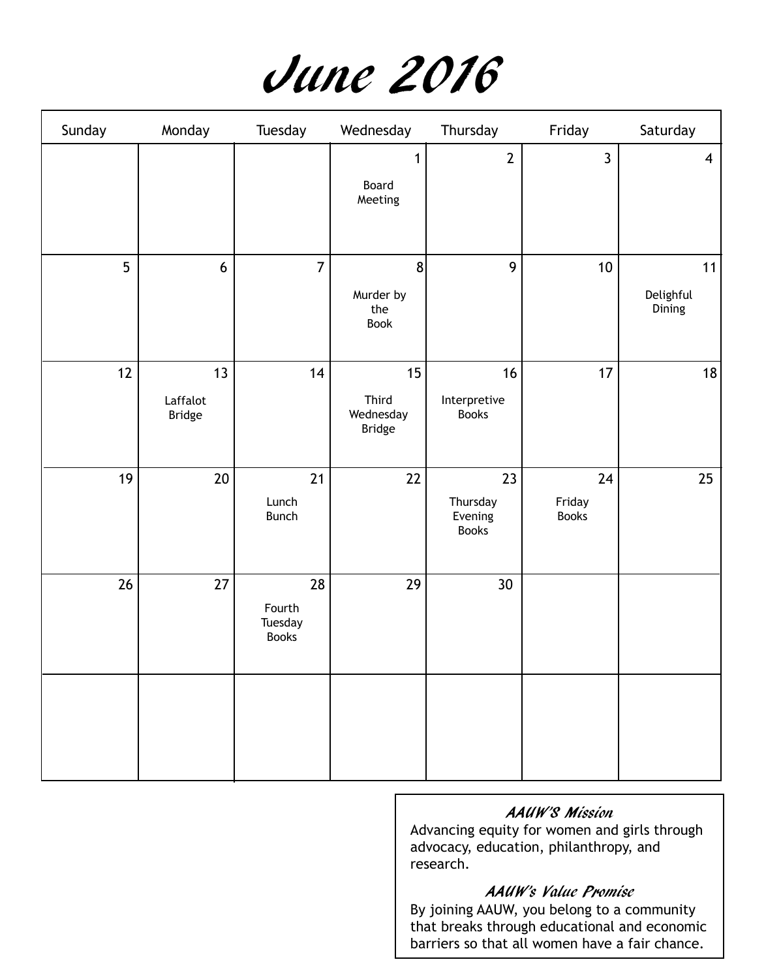

| Sunday | Monday                          | Tuesday                                 | Wednesday                                 | Thursday                                  | Friday                       | Saturday                  |
|--------|---------------------------------|-----------------------------------------|-------------------------------------------|-------------------------------------------|------------------------------|---------------------------|
|        |                                 |                                         | 1<br>Board<br>Meeting                     | $\overline{2}$                            | $\overline{3}$               | $\overline{4}$            |
| 5      | $6\phantom{.}6$                 | $\overline{7}$                          | 8<br>Murder by<br>the<br>Book             | 9                                         | $10\,$                       | 11<br>Delighful<br>Dining |
| 12     | 13<br>Laffalot<br><b>Bridge</b> | 14                                      | 15<br>Third<br>Wednesday<br><b>Bridge</b> | 16<br>Interpretive<br><b>Books</b>        | 17                           | 18                        |
| 19     | $20\,$                          | 21<br>Lunch<br><b>Bunch</b>             | 22                                        | 23<br>Thursday<br>Evening<br><b>Books</b> | 24<br>Friday<br><b>Books</b> | 25                        |
| 26     | 27                              | 28<br>Fourth<br>Tuesday<br><b>Books</b> | 29                                        | 30 <sup>°</sup>                           |                              |                           |
|        |                                 |                                         |                                           |                                           |                              |                           |

## AAUW'S Mission

Advancing equity for women and girls through advocacy, education, philanthropy, and research.

#### AAUW's Value Promise

By joining AAUW, you belong to a community that breaks through educational and economic barriers so that all women have a fair chance.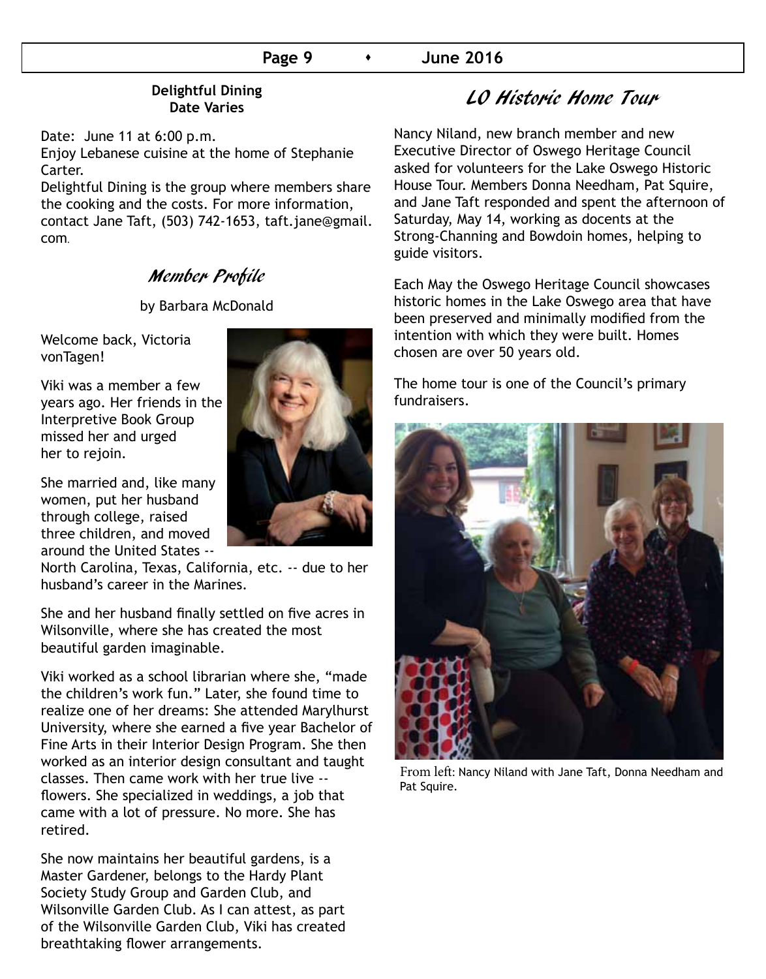#### **Page 9 •** June 2016

#### **Delightful Dining Date Varies**

Date: June 11 at 6:00 p.m.

Enjoy Lebanese cuisine at the home of Stephanie Carter.

Delightful Dining is the group where members share the cooking and the costs. For more information, contact Jane Taft, (503) 742-1653, taft.jane@gmail. com**.**

## Member Profile

by Barbara McDonald

Welcome back, Victoria vonTagen!

Viki was a member a few years ago. Her friends in the Interpretive Book Group missed her and urged her to rejoin.

She married and, like many women, put her husband through college, raised three children, and moved around the United States --



North Carolina, Texas, California, etc. -- due to her husband's career in the Marines.

She and her husband finally settled on five acres in Wilsonville, where she has created the most beautiful garden imaginable.

Viki worked as a school librarian where she, "made the children's work fun." Later, she found time to realize one of her dreams: She attended Marylhurst University, where she earned a five year Bachelor of Fine Arts in their Interior Design Program. She then worked as an interior design consultant and taught classes. Then came work with her true live - flowers. She specialized in weddings, a job that came with a lot of pressure. No more. She has retired.

She now maintains her beautiful gardens, is a Master Gardener, belongs to the Hardy Plant Society Study Group and Garden Club, and Wilsonville Garden Club. As I can attest, as part of the Wilsonville Garden Club, Viki has created breathtaking flower arrangements.

# LO Historic Home Tour

Nancy Niland, new branch member and new Executive Director of Oswego Heritage Council asked for volunteers for the Lake Oswego Historic House Tour. Members Donna Needham, Pat Squire, and Jane Taft responded and spent the afternoon of Saturday, May 14, working as docents at the Strong-Channing and Bowdoin homes, helping to guide visitors.

Each May the Oswego Heritage Council showcases historic homes in the Lake Oswego area that have been preserved and minimally modified from the intention with which they were built. Homes chosen are over 50 years old.

The home tour is one of the Council's primary fundraisers.



From left: Nancy Niland with Jane Taft, Donna Needham and Pat Squire.